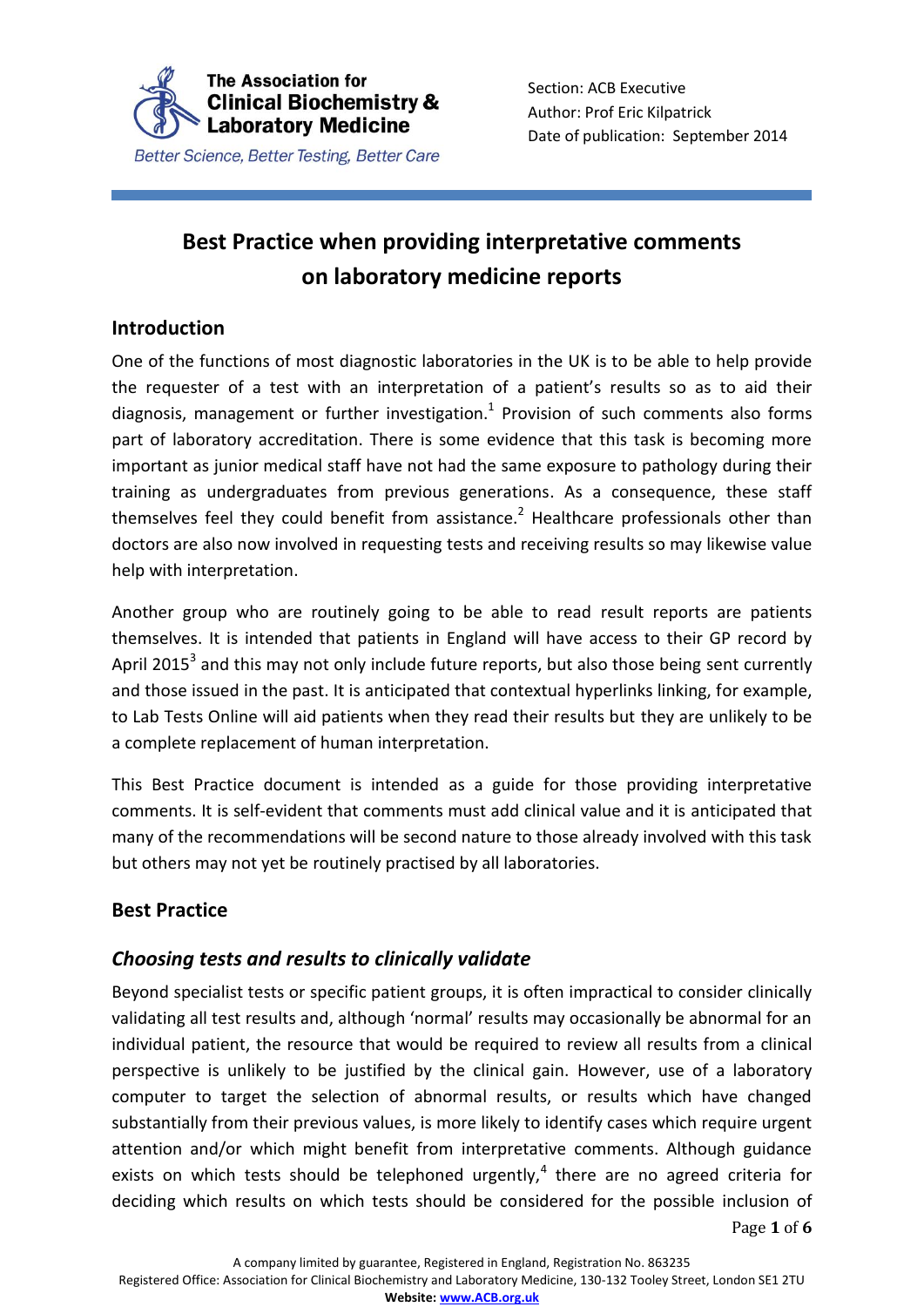

# **Best Practice when providing interpretative comments on laboratory medicine reports**

## **Introduction**

One of the functions of most diagnostic laboratories in the UK is to be able to help provide the requester of a test with an interpretation of a patient's results so as to aid their diagnosis, management or further investigation. $1$  Provision of such comments also forms part of laboratory accreditation. There is some evidence that this task is becoming more important as junior medical staff have not had the same exposure to pathology during their training as undergraduates from previous generations. As a consequence, these staff themselves feel they could benefit from assistance.<sup>2</sup> Healthcare professionals other than doctors are also now involved in requesting tests and receiving results so may likewise value help with interpretation.

Another group who are routinely going to be able to read result reports are patients themselves. It is intended that patients in England will have access to their GP record by April 2015<sup>3</sup> and this may not only include future reports, but also those being sent currently and those issued in the past. It is anticipated that contextual hyperlinks linking, for example, to Lab Tests Online will aid patients when they read their results but they are unlikely to be a complete replacement of human interpretation.

This Best Practice document is intended as a guide for those providing interpretative comments. It is self-evident that comments must add clinical value and it is anticipated that many of the recommendations will be second nature to those already involved with this task but others may not yet be routinely practised by all laboratories.

# **Best Practice**

# *Choosing tests and results to clinically validate*

Page **1** of **6** Beyond specialist tests or specific patient groups, it is often impractical to consider clinically validating all test results and, although 'normal' results may occasionally be abnormal for an individual patient, the resource that would be required to review all results from a clinical perspective is unlikely to be justified by the clinical gain. However, use of a laboratory computer to target the selection of abnormal results, or results which have changed substantially from their previous values, is more likely to identify cases which require urgent attention and/or which might benefit from interpretative comments. Although guidance exists on which tests should be telephoned urgently, $4$  there are no agreed criteria for deciding which results on which tests should be considered for the possible inclusion of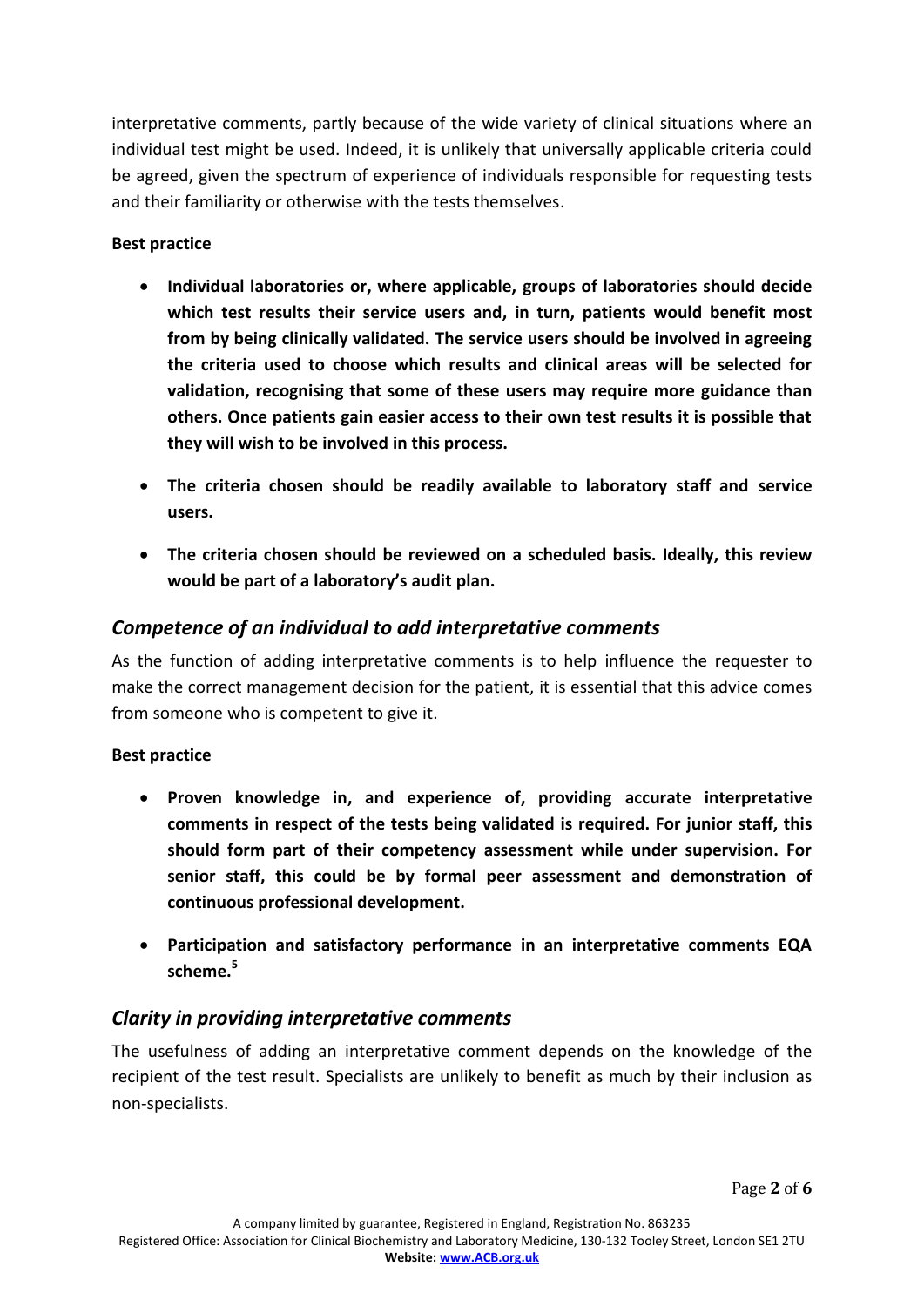interpretative comments, partly because of the wide variety of clinical situations where an individual test might be used. Indeed, it is unlikely that universally applicable criteria could be agreed, given the spectrum of experience of individuals responsible for requesting tests and their familiarity or otherwise with the tests themselves.

### **Best practice**

- **Individual laboratories or, where applicable, groups of laboratories should decide which test results their service users and, in turn, patients would benefit most from by being clinically validated. The service users should be involved in agreeing the criteria used to choose which results and clinical areas will be selected for validation, recognising that some of these users may require more guidance than others. Once patients gain easier access to their own test results it is possible that they will wish to be involved in this process.**
- **The criteria chosen should be readily available to laboratory staff and service users.**
- **The criteria chosen should be reviewed on a scheduled basis. Ideally, this review would be part of a laboratory's audit plan.**

## *Competence of an individual to add interpretative comments*

As the function of adding interpretative comments is to help influence the requester to make the correct management decision for the patient, it is essential that this advice comes from someone who is competent to give it.

#### **Best practice**

- **Proven knowledge in, and experience of, providing accurate interpretative comments in respect of the tests being validated is required. For junior staff, this should form part of their competency assessment while under supervision. For senior staff, this could be by formal peer assessment and demonstration of continuous professional development.**
- **Participation and satisfactory performance in an interpretative comments EQA scheme. 5**

# *Clarity in providing interpretative comments*

The usefulness of adding an interpretative comment depends on the knowledge of the recipient of the test result. Specialists are unlikely to benefit as much by their inclusion as non-specialists.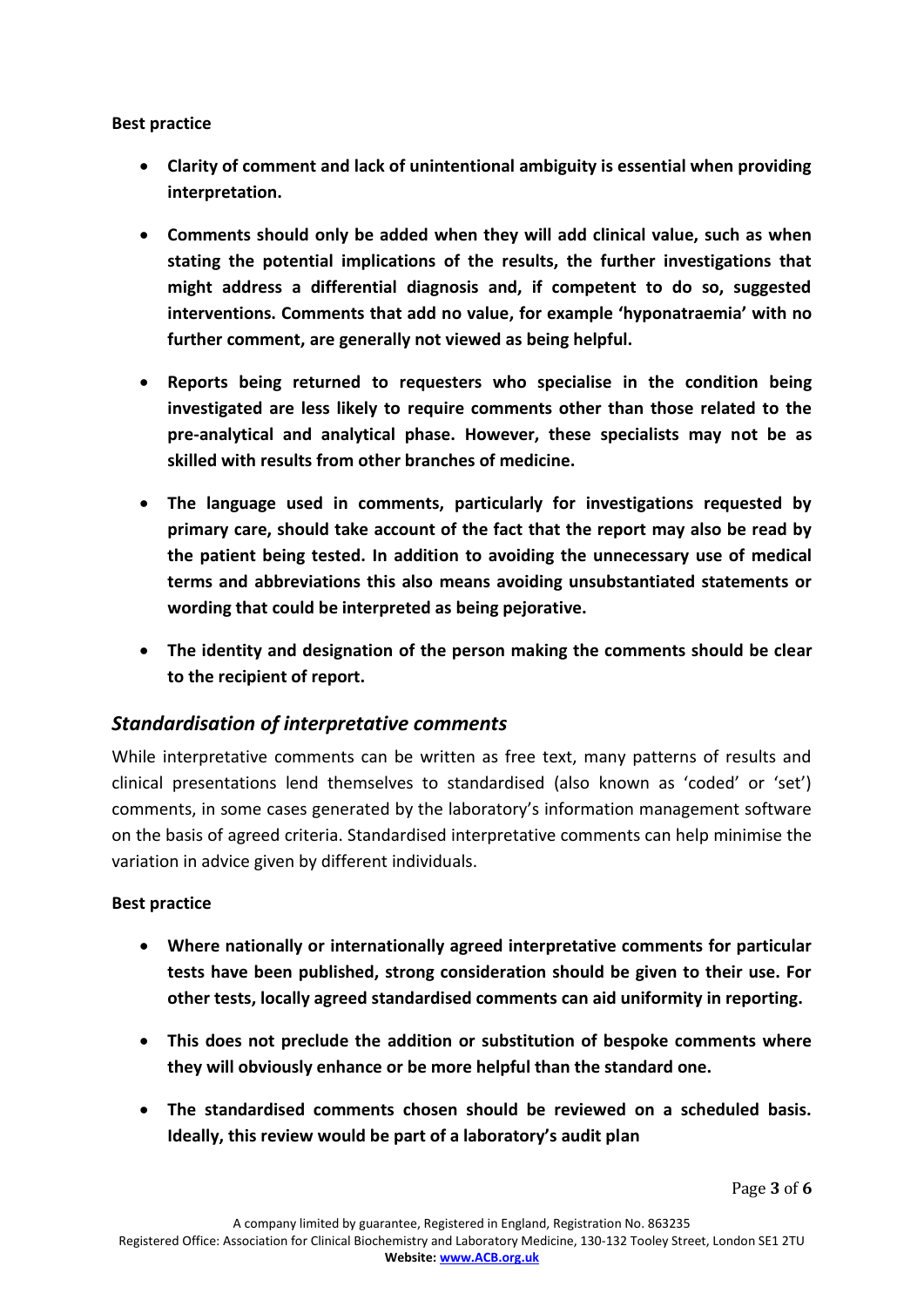#### **Best practice**

- **Clarity of comment and lack of unintentional ambiguity is essential when providing interpretation.**
- **Comments should only be added when they will add clinical value, such as when stating the potential implications of the results, the further investigations that might address a differential diagnosis and, if competent to do so, suggested interventions. Comments that add no value, for example 'hyponatraemia' with no further comment, are generally not viewed as being helpful.**
- **Reports being returned to requesters who specialise in the condition being investigated are less likely to require comments other than those related to the pre-analytical and analytical phase. However, these specialists may not be as skilled with results from other branches of medicine.**
- **The language used in comments, particularly for investigations requested by primary care, should take account of the fact that the report may also be read by the patient being tested. In addition to avoiding the unnecessary use of medical terms and abbreviations this also means avoiding unsubstantiated statements or wording that could be interpreted as being pejorative.**
- **The identity and designation of the person making the comments should be clear to the recipient of report.**

### *Standardisation of interpretative comments*

While interpretative comments can be written as free text, many patterns of results and clinical presentations lend themselves to standardised (also known as 'coded' or 'set') comments, in some cases generated by the laboratory's information management software on the basis of agreed criteria. Standardised interpretative comments can help minimise the variation in advice given by different individuals.

#### **Best practice**

- **Where nationally or internationally agreed interpretative comments for particular tests have been published, strong consideration should be given to their use. For other tests, locally agreed standardised comments can aid uniformity in reporting.**
- **This does not preclude the addition or substitution of bespoke comments where they will obviously enhance or be more helpful than the standard one.**
- **The standardised comments chosen should be reviewed on a scheduled basis. Ideally, this review would be part of a laboratory's audit plan**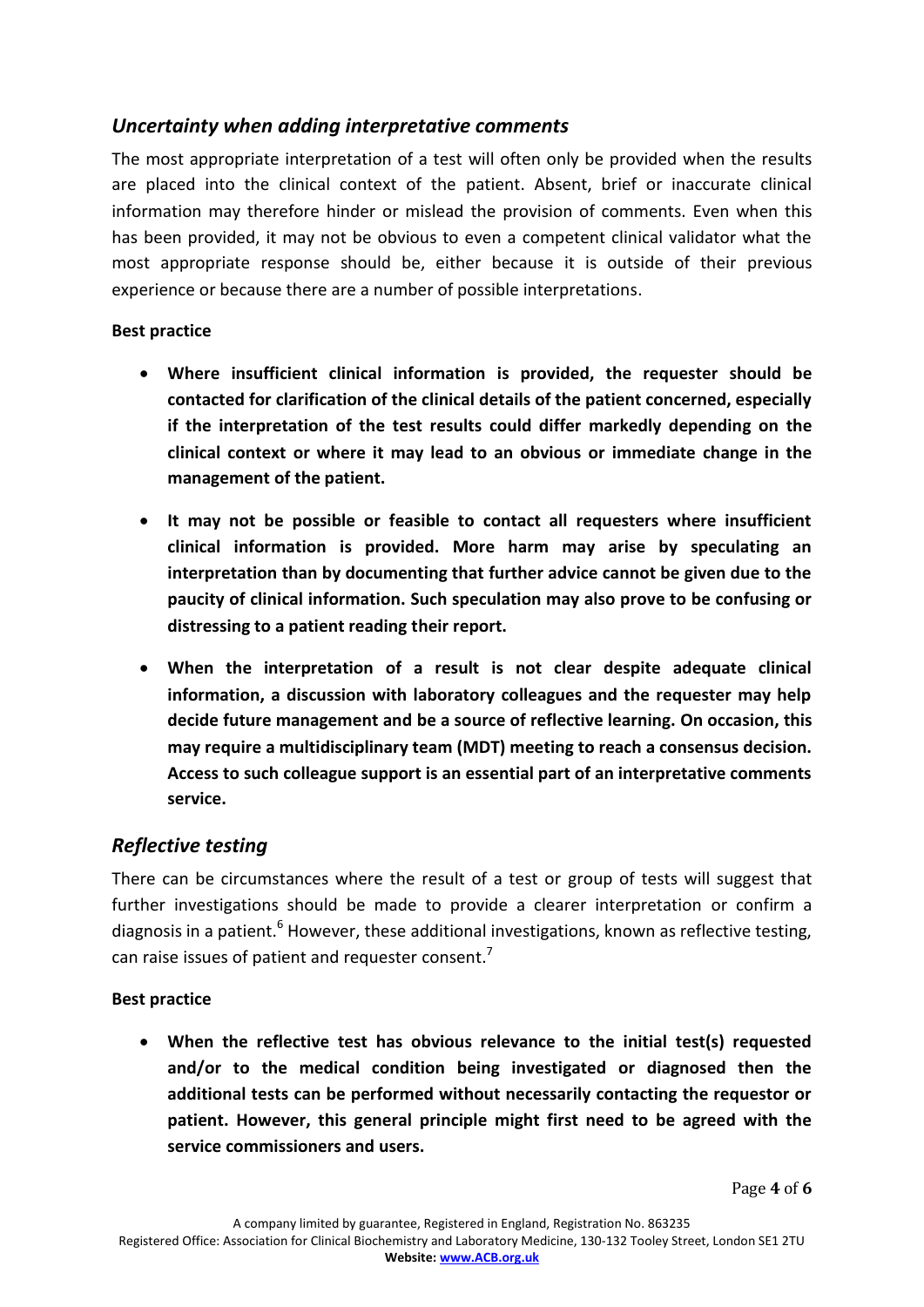# *Uncertainty when adding interpretative comments*

The most appropriate interpretation of a test will often only be provided when the results are placed into the clinical context of the patient. Absent, brief or inaccurate clinical information may therefore hinder or mislead the provision of comments. Even when this has been provided, it may not be obvious to even a competent clinical validator what the most appropriate response should be, either because it is outside of their previous experience or because there are a number of possible interpretations.

#### **Best practice**

- **Where insufficient clinical information is provided, the requester should be contacted for clarification of the clinical details of the patient concerned, especially if the interpretation of the test results could differ markedly depending on the clinical context or where it may lead to an obvious or immediate change in the management of the patient.**
- **It may not be possible or feasible to contact all requesters where insufficient clinical information is provided. More harm may arise by speculating an interpretation than by documenting that further advice cannot be given due to the paucity of clinical information. Such speculation may also prove to be confusing or distressing to a patient reading their report.**
- **When the interpretation of a result is not clear despite adequate clinical information, a discussion with laboratory colleagues and the requester may help decide future management and be a source of reflective learning. On occasion, this may require a multidisciplinary team (MDT) meeting to reach a consensus decision. Access to such colleague support is an essential part of an interpretative comments service.**

### *Reflective testing*

There can be circumstances where the result of a test or group of tests will suggest that further investigations should be made to provide a clearer interpretation or confirm a diagnosis in a patient. $^6$  However, these additional investigations, known as reflective testing, can raise issues of patient and requester consent.<sup>7</sup>

#### **Best practice**

 **When the reflective test has obvious relevance to the initial test(s) requested and/or to the medical condition being investigated or diagnosed then the additional tests can be performed without necessarily contacting the requestor or patient. However, this general principle might first need to be agreed with the service commissioners and users.**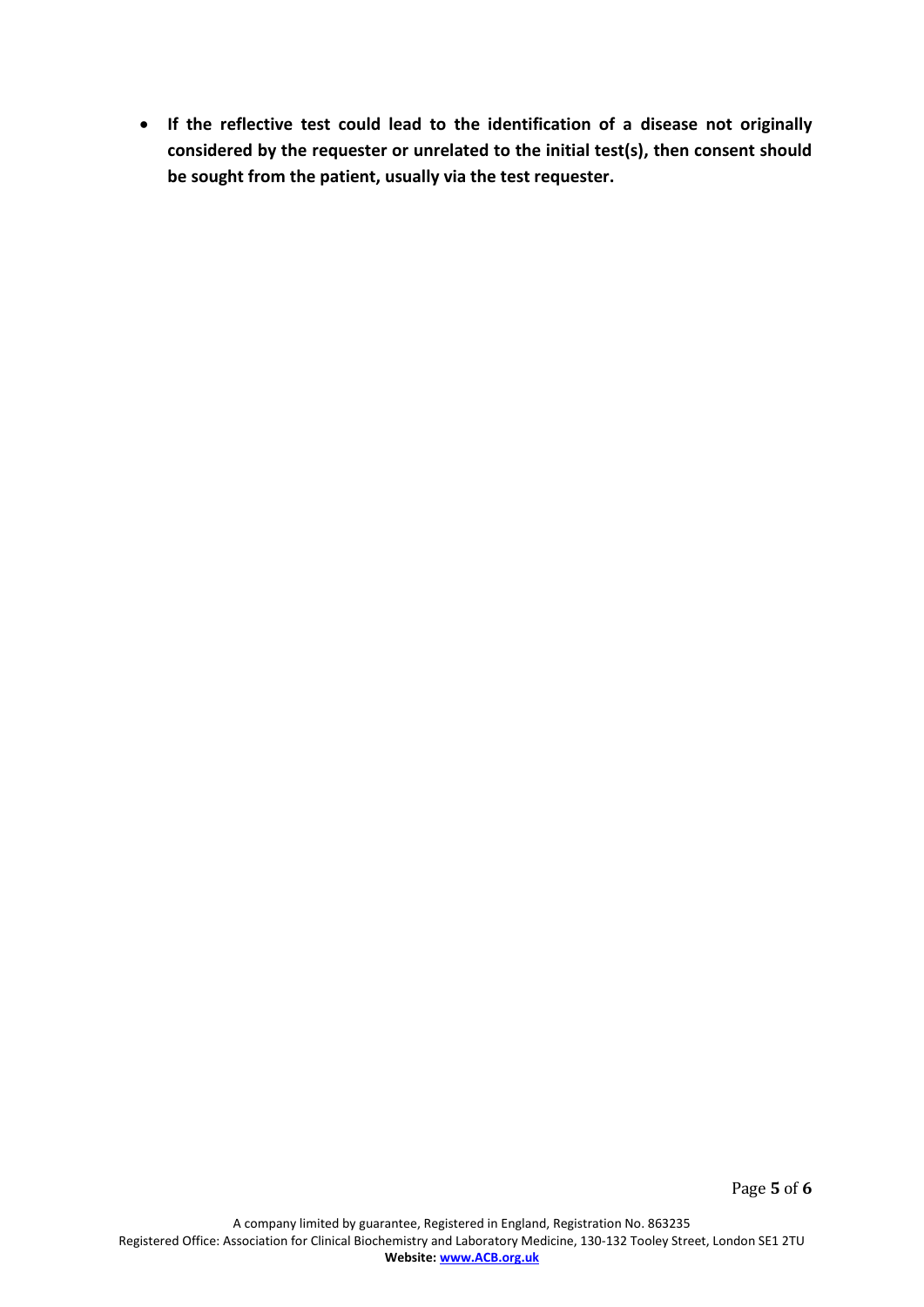**If the reflective test could lead to the identification of a disease not originally considered by the requester or unrelated to the initial test(s), then consent should be sought from the patient, usually via the test requester.**